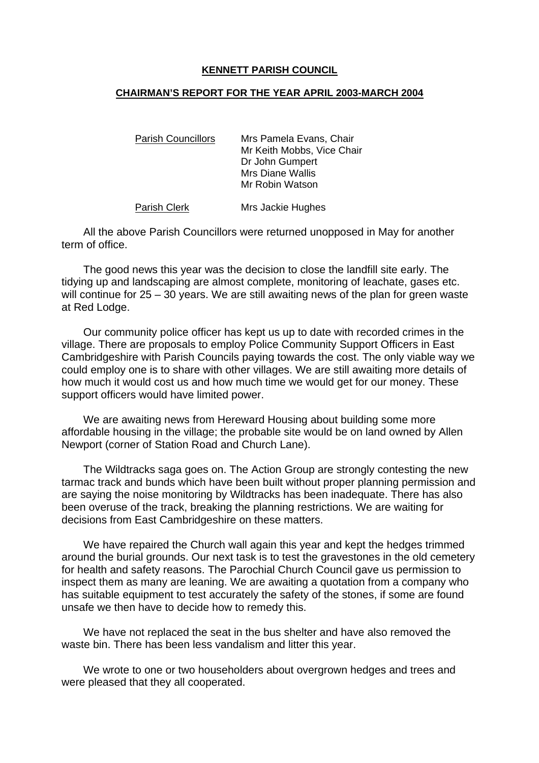## **KENNETT PARISH COUNCIL**

## **CHAIRMAN'S REPORT FOR THE YEAR APRIL 2003-MARCH 2004**

| <b>Parish Councillors</b> | Mrs Pamela Evans, Chair    |
|---------------------------|----------------------------|
|                           | Mr Keith Mobbs, Vice Chair |
|                           | Dr John Gumpert            |
|                           | <b>Mrs Diane Wallis</b>    |
|                           | Mr Robin Watson            |
|                           |                            |

Parish Clerk Mrs Jackie Hughes

All the above Parish Councillors were returned unopposed in May for another term of office.

The good news this year was the decision to close the landfill site early. The tidying up and landscaping are almost complete, monitoring of leachate, gases etc. will continue for 25 – 30 years. We are still awaiting news of the plan for green waste at Red Lodge.

Our community police officer has kept us up to date with recorded crimes in the village. There are proposals to employ Police Community Support Officers in East Cambridgeshire with Parish Councils paying towards the cost. The only viable way we could employ one is to share with other villages. We are still awaiting more details of how much it would cost us and how much time we would get for our money. These support officers would have limited power.

We are awaiting news from Hereward Housing about building some more affordable housing in the village; the probable site would be on land owned by Allen Newport (corner of Station Road and Church Lane).

The Wildtracks saga goes on. The Action Group are strongly contesting the new tarmac track and bunds which have been built without proper planning permission and are saying the noise monitoring by Wildtracks has been inadequate. There has also been overuse of the track, breaking the planning restrictions. We are waiting for decisions from East Cambridgeshire on these matters.

We have repaired the Church wall again this year and kept the hedges trimmed around the burial grounds. Our next task is to test the gravestones in the old cemetery for health and safety reasons. The Parochial Church Council gave us permission to inspect them as many are leaning. We are awaiting a quotation from a company who has suitable equipment to test accurately the safety of the stones, if some are found unsafe we then have to decide how to remedy this.

We have not replaced the seat in the bus shelter and have also removed the waste bin. There has been less vandalism and litter this year.

We wrote to one or two householders about overgrown hedges and trees and were pleased that they all cooperated.